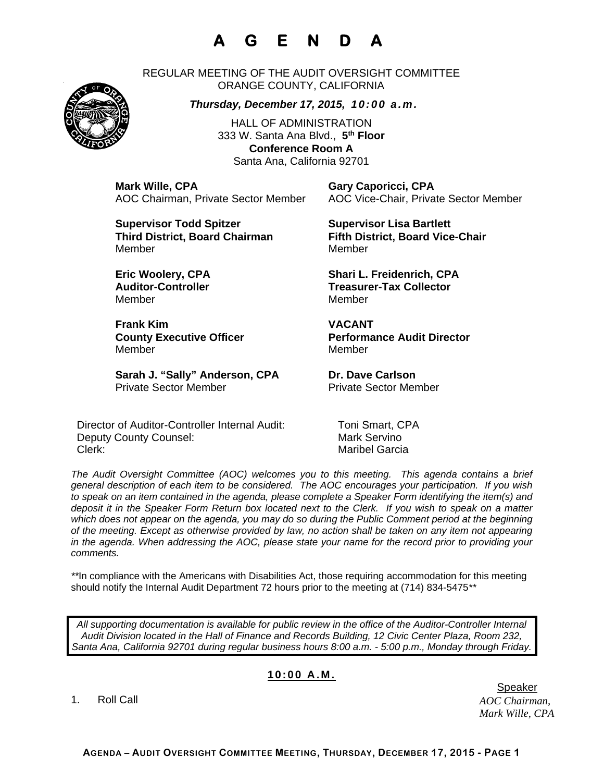## **A G E N D A**

REGULAR MEETING OF THE AUDIT OVERSIGHT COMMITTEE ORANGE COUNTY, CALIFORNIA

*Thursday, December 17, 2015, 10:00 a.m.*

HALL OF ADMINISTRATION 333 W. Santa Ana Blvd., **5th Floor Conference Room A**  Santa Ana, California 92701

**Mark Wille, CPA Gary Caporicci, CPA**

AOC Chairman, Private Sector Member AOC Vice-Chair, Private Sector Member

**Supervisor Todd Spitzer Supervisor Lisa Bartlett Third District, Board Chairman Fifth District, Board Vice-Chair**  MemberMember

Member Member

**Frank Kim VACANT**  Member Member

Sarah J. "Sally" Anderson, CPA Dr. Dave Carlson Private Sector Member Private Sector Member

Director of Auditor-Controller Internal Audit: Toni Smart, CPA Deputy County Counsel: Mark Servino Clerk: Maribel Garcia

**Eric Woolery, CPA Shari L. Freidenrich, CPA**  Auditor-Controller **Treasurer-Tax Collector** 

**County Executive Officer County Executive Officer Represent Performance Audit Director** 

*The Audit Oversight Committee (AOC) welcomes you to this meeting. This agenda contains a brief general description of each item to be considered. The AOC encourages your participation. If you wish to speak on an item contained in the agenda, please complete a Speaker Form identifying the item(s) and deposit it in the Speaker Form Return box located next to the Clerk. If you wish to speak on a matter which does not appear on the agenda, you may do so during the Public Comment period at the beginning of the meeting. Except as otherwise provided by law, no action shall be taken on any item not appearing in the agenda. When addressing the AOC, please state your name for the record prior to providing your comments.* 

*\*\**In compliance with the Americans with Disabilities Act, those requiring accommodation for this meeting should notify the Internal Audit Department 72 hours prior to the meeting at (714) 834-5475*\*\** 

*All supporting documentation is available for public review in the office of the Auditor-Controller Internal Audit Division located in the Hall of Finance and Records Building, 12 Civic Center Plaza, Room 232, Santa Ana, California 92701 during regular business hours 8:00 a.m. - 5:00 p.m., Monday through Friday.* 

## **10:00 A.M.**

1. Roll Call

*AOC Chairman, Mark Wille, CPA*  er de beste genoemd in de beste genoemd in de beste genoemd in de beste genoemd in de beste genoemd in de bes